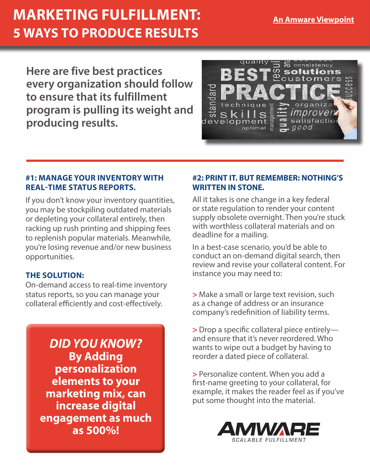# **MARKETING FULFILLMENT: 5 WAYS TO PRODUCE RESULTS**

**Here are five best practices every organization should follow to ensure that its fulfillment program is pulling its weight and producing results.**



### **#1: MANAGE YOUR INVENTORY WITH REAL-TIME STATUS REPORTS.**

If you don't know your inventory quantities, you may be stockpiling outdated materials or depleting your collateral entirely, then racking up rush printing and shipping fees to replenish popular materials. Meanwhile, you're losing revenue and/or new business opportunities.

## **THE SOLUTION:**

On-demand access to real-time inventory status reports, so you can manage your collateral efficiently and cost-effectively.

> *DID YOU KNOW?* **By Adding personalization elements to your marketing mix, can increase digital engagement as much as 500%!**

## **#2: PRINT IT. BUT REMEMBER: NOTHING'S WRITTEN IN STONE.**

All it takes is one change in a key federal or state regulation to render your content supply obsolete overnight. Then you're stuck with worthless collateral materials and on deadline for a mailing.

In a best-case scenario, you'd be able to conduct an on-demand digital search, then review and revise your collateral content. For instance you may need to:

**>** Make a small or large text revision, such as a change of address or an insurance company's redefinition of liability terms.

**>** Drop a specific collateral piece entirely and ensure that it's never reordered. Who wants to wipe out a budget by having to reorder a dated piece of collateral.

**>** Personalize content. When you add a first-name greeting to your collateral, for example, it makes the reader feel as if you've put some thought into the material.